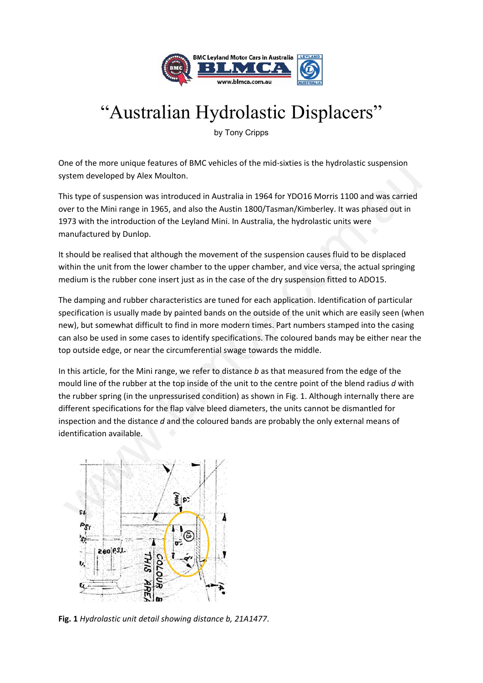

# "Australian Hydrolastic Displacers"

by Tony Cripps

One of the more unique features of BMC vehicles of the mid‐sixties is the hydrolastic suspension system developed by Alex Moulton.

This type of suspension was introduced in Australia in 1964 for YDO16 Morris 1100 and was carried over to the Mini range in 1965, and also the Austin 1800/Tasman/Kimberley. It was phased out in 1973 with the introduction of the Leyland Mini. In Australia, the hydrolastic units were manufactured by Dunlop.

It should be realised that although the movement of the suspension causes fluid to be displaced within the unit from the lower chamber to the upper chamber, and vice versa, the actual springing medium is the rubber cone insert just as in the case of the dry suspension fitted to ADO15.

The damping and rubber characteristics are tuned for each application. Identification of particular specification is usually made by painted bands on the outside of the unit which are easily seen (when new), but somewhat difficult to find in more modern times. Part numbers stamped into the casing can also be used in some cases to identify specifications. The coloured bands may be either near the top outside edge, or near the circumferential swage towards the middle.

In this article, for the Mini range, we refer to distance *b* as that measured from the edge of the mould line of the rubber at the top inside of the unit to the centre point of the blend radius *d* with the rubber spring (in the unpressurised condition) as shown in Fig. 1. Although internally there are different specifications for the flap valve bleed diameters, the units cannot be dismantled for inspection and the distance *d* and the coloured bands are probably the only external means of identification available. stem developed by Alex Moulton.<br>
his type of suspension was introduced in Australia in 1964 for YDO16 Morris 1100 and was carried<br>
ver to the Mini range in 1965, and also the Australia in 1964 for YDO16 Morris 1100 and was



**Fig. 1** *Hydrolastic unit detail showing distance b, 21A1477*.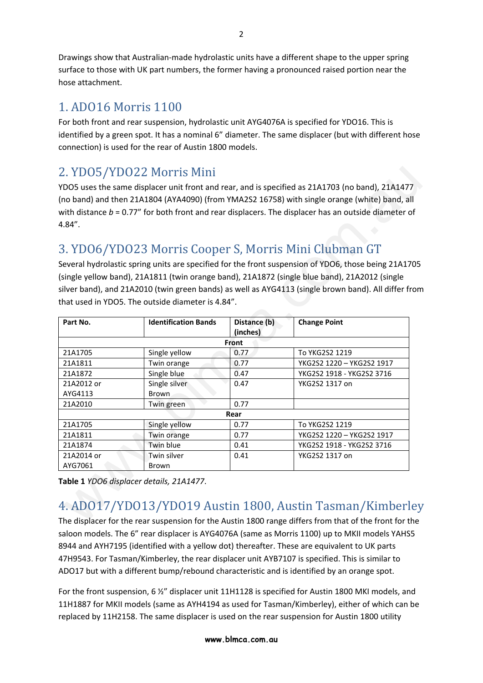Drawings show that Australian‐made hydrolastic units have a different shape to the upper spring surface to those with UK part numbers, the former having a pronounced raised portion near the hose attachment.

#### 1. ADO16 Morris 1100

For both front and rear suspension, hydrolastic unit AYG4076A is specified for YDO16. This is identified by a green spot. It has a nominal 6" diameter. The same displacer (but with different hose connection) is used for the rear of Austin 1800 models.

### 2. YDO5/YDO22 Morris Mini

## 3. YDO6/YDO23 Morris Cooper S, Morris Mini Clubman GT

|                             |              | (no band) and then 21A1804 (AYA4090) (from YMA2S2 16758) with single orange (white) band, all<br>with distance $b = 0.77$ " for both front and rear displacers. The displacer has an outside diameter of                                                                                                                                                                                                                                                |
|-----------------------------|--------------|---------------------------------------------------------------------------------------------------------------------------------------------------------------------------------------------------------------------------------------------------------------------------------------------------------------------------------------------------------------------------------------------------------------------------------------------------------|
|                             |              |                                                                                                                                                                                                                                                                                                                                                                                                                                                         |
|                             |              |                                                                                                                                                                                                                                                                                                                                                                                                                                                         |
|                             |              |                                                                                                                                                                                                                                                                                                                                                                                                                                                         |
| <b>Identification Bands</b> | Distance (b) | <b>Change Point</b>                                                                                                                                                                                                                                                                                                                                                                                                                                     |
|                             |              |                                                                                                                                                                                                                                                                                                                                                                                                                                                         |
| Single yellow               | 0.77         | To YKG2S2 1219                                                                                                                                                                                                                                                                                                                                                                                                                                          |
| Twin orange                 | 0.77         | YKG2S2 1220 - YKG2S2 1917                                                                                                                                                                                                                                                                                                                                                                                                                               |
| Single blue                 | 0.47         | YKG2S2 1918 - YKG2S2 3716                                                                                                                                                                                                                                                                                                                                                                                                                               |
| Single silver<br>Brown      | 0.47         | YKG2S2 1317 on                                                                                                                                                                                                                                                                                                                                                                                                                                          |
| Twin green                  | 0.77         |                                                                                                                                                                                                                                                                                                                                                                                                                                                         |
|                             |              |                                                                                                                                                                                                                                                                                                                                                                                                                                                         |
|                             | Rear         |                                                                                                                                                                                                                                                                                                                                                                                                                                                         |
| Single yellow               | 0.77         | To YKG2S2 1219                                                                                                                                                                                                                                                                                                                                                                                                                                          |
| Twin orange                 | 0.77         | YKG2S2 1220 - YKG2S2 1917                                                                                                                                                                                                                                                                                                                                                                                                                               |
| Twin blue                   | 0.41         | YKG2S2 1918 - YKG2S2 3716                                                                                                                                                                                                                                                                                                                                                                                                                               |
| Twin silver                 | 0.41         | YKG2S2 1317 on                                                                                                                                                                                                                                                                                                                                                                                                                                          |
|                             |              | 3. YDO6/YDO23 Morris Cooper S, Morris Mini Clubman GT<br>Several hydrolastic spring units are specified for the front suspension of YDO6, those being 21A1705<br>(single yellow band), 21A1811 (twin orange band), 21A1872 (single blue band), 21A2012 (single<br>silver band), and 21A2010 (twin green bands) as well as AYG4113 (single brown band). All differ from<br>that used in YDO5. The outside diameter is 4.84".<br>(inches)<br><b>Front</b> |

## 4. ADO17/YDO13/YDO19 Austin 1800, Austin Tasman/Kimberley

The displacer for the rear suspension for the Austin 1800 range differs from that of the front for the saloon models. The 6" rear displacer is AYG4076A (same as Morris 1100) up to MKII models YAHS5 8944 and AYH7195 (identified with a yellow dot) thereafter. These are equivalent to UK parts 47H9543. For Tasman/Kimberley, the rear displacer unit AYB7107 is specified. This is similar to ADO17 but with a different bump/rebound characteristic and is identified by an orange spot.

For the front suspension, 6 ½" displacer unit 11H1128 is specified for Austin 1800 MKI models, and 11H1887 for MKII models (same as AYH4194 as used for Tasman/Kimberley), either of which can be replaced by 11H2158. The same displacer is used on the rear suspension for Austin 1800 utility